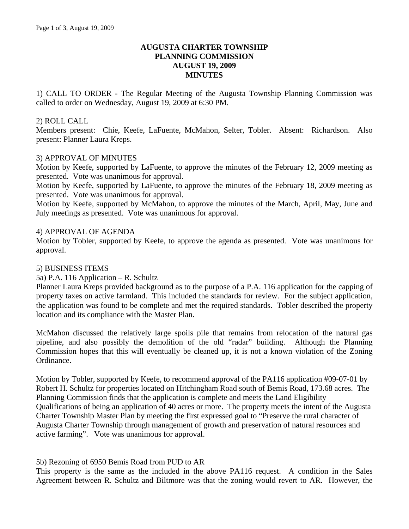## **AUGUSTA CHARTER TOWNSHIP PLANNING COMMISSION AUGUST 19, 2009 MINUTES**

1) CALL TO ORDER - The Regular Meeting of the Augusta Township Planning Commission was called to order on Wednesday, August 19, 2009 at 6:30 PM.

## 2) ROLL CALL

Members present: Chie, Keefe, LaFuente, McMahon, Selter, Tobler. Absent: Richardson. Also present: Planner Laura Kreps.

### 3) APPROVAL OF MINUTES

Motion by Keefe, supported by LaFuente, to approve the minutes of the February 12, 2009 meeting as presented. Vote was unanimous for approval.

Motion by Keefe, supported by LaFuente, to approve the minutes of the February 18, 2009 meeting as presented. Vote was unanimous for approval.

Motion by Keefe, supported by McMahon, to approve the minutes of the March, April, May, June and July meetings as presented. Vote was unanimous for approval.

### 4) APPROVAL OF AGENDA

Motion by Tobler, supported by Keefe, to approve the agenda as presented. Vote was unanimous for approval.

#### 5) BUSINESS ITEMS

#### 5a) P.A. 116 Application – R. Schultz

Planner Laura Kreps provided background as to the purpose of a P.A. 116 application for the capping of property taxes on active farmland. This included the standards for review. For the subject application, the application was found to be complete and met the required standards. Tobler described the property location and its compliance with the Master Plan.

McMahon discussed the relatively large spoils pile that remains from relocation of the natural gas pipeline, and also possibly the demolition of the old "radar" building. Although the Planning Commission hopes that this will eventually be cleaned up, it is not a known violation of the Zoning Ordinance.

Motion by Tobler, supported by Keefe, to recommend approval of the PA116 application #09-07-01 by Robert H. Schultz for properties located on Hitchingham Road south of Bemis Road, 173.68 acres. The Planning Commission finds that the application is complete and meets the Land Eligibility Qualifications of being an application of 40 acres or more. The property meets the intent of the Augusta Charter Township Master Plan by meeting the first expressed goal to "Preserve the rural character of Augusta Charter Township through management of growth and preservation of natural resources and active farming". Vote was unanimous for approval.

#### 5b) Rezoning of 6950 Bemis Road from PUD to AR

This property is the same as the included in the above PA116 request. A condition in the Sales Agreement between R. Schultz and Biltmore was that the zoning would revert to AR. However, the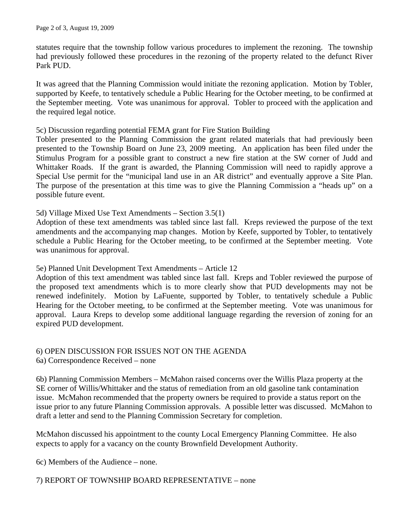statutes require that the township follow various procedures to implement the rezoning. The township had previously followed these procedures in the rezoning of the property related to the defunct River Park PUD.

It was agreed that the Planning Commission would initiate the rezoning application. Motion by Tobler, supported by Keefe, to tentatively schedule a Public Hearing for the October meeting, to be confirmed at the September meeting. Vote was unanimous for approval. Tobler to proceed with the application and the required legal notice.

#### 5c) Discussion regarding potential FEMA grant for Fire Station Building

Tobler presented to the Planning Commission the grant related materials that had previously been presented to the Township Board on June 23, 2009 meeting. An application has been filed under the Stimulus Program for a possible grant to construct a new fire station at the SW corner of Judd and Whittaker Roads. If the grant is awarded, the Planning Commission will need to rapidly approve a Special Use permit for the "municipal land use in an AR district" and eventually approve a Site Plan. The purpose of the presentation at this time was to give the Planning Commission a "heads up" on a possible future event.

### 5d) Village Mixed Use Text Amendments – Section 3.5(1)

Adoption of these text amendments was tabled since last fall. Kreps reviewed the purpose of the text amendments and the accompanying map changes. Motion by Keefe, supported by Tobler, to tentatively schedule a Public Hearing for the October meeting, to be confirmed at the September meeting. Vote was unanimous for approval.

#### 5e) Planned Unit Development Text Amendments – Article 12

Adoption of this text amendment was tabled since last fall. Kreps and Tobler reviewed the purpose of the proposed text amendments which is to more clearly show that PUD developments may not be renewed indefinitely. Motion by LaFuente, supported by Tobler, to tentatively schedule a Public Hearing for the October meeting, to be confirmed at the September meeting. Vote was unanimous for approval. Laura Kreps to develop some additional language regarding the reversion of zoning for an expired PUD development.

# 6) OPEN DISCUSSION FOR ISSUES NOT ON THE AGENDA

6a) Correspondence Received – none

6b) Planning Commission Members – McMahon raised concerns over the Willis Plaza property at the SE corner of Willis/Whittaker and the status of remediation from an old gasoline tank contamination issue. McMahon recommended that the property owners be required to provide a status report on the issue prior to any future Planning Commission approvals. A possible letter was discussed. McMahon to draft a letter and send to the Planning Commission Secretary for completion.

McMahon discussed his appointment to the county Local Emergency Planning Committee. He also expects to apply for a vacancy on the county Brownfield Development Authority.

6c) Members of the Audience – none.

## 7) REPORT OF TOWNSHIP BOARD REPRESENTATIVE – none